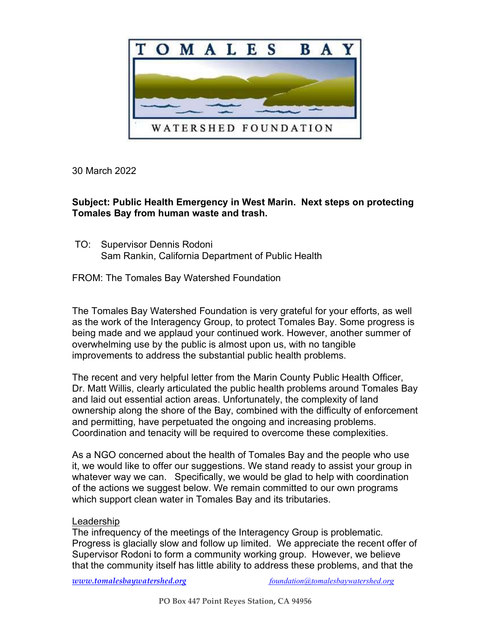

30 March 2022

# Subject: Public Health Emergency in West Marin. Next steps on protecting Tomales Bay from human waste and trash.

 TO: Supervisor Dennis Rodoni Sam Rankin, California Department of Public Health

FROM: The Tomales Bay Watershed Foundation

The Tomales Bay Watershed Foundation is very grateful for your efforts, as well as the work of the Interagency Group, to protect Tomales Bay. Some progress is being made and we applaud your continued work. However, another summer of overwhelming use by the public is almost upon us, with no tangible improvements to address the substantial public health problems.

The recent and very helpful letter from the Marin County Public Health Officer, Dr. Matt Willis, clearly articulated the public health problems around Tomales Bay and laid out essential action areas. Unfortunately, the complexity of land ownership along the shore of the Bay, combined with the difficulty of enforcement and permitting, have perpetuated the ongoing and increasing problems. Coordination and tenacity will be required to overcome these complexities.

As a NGO concerned about the health of Tomales Bay and the people who use it, we would like to offer our suggestions. We stand ready to assist your group in whatever way we can. Specifically, we would be glad to help with coordination of the actions we suggest below. We remain committed to our own programs which support clean water in Tomales Bay and its tributaries.

# Leadership

The infrequency of the meetings of the Interagency Group is problematic. Progress is glacially slow and follow up limited. We appreciate the recent offer of Supervisor Rodoni to form a community working group. However, we believe that the community itself has little ability to address these problems, and that the

www.tomalesbaywatershed.org foundation@tomalesbaywatershed.org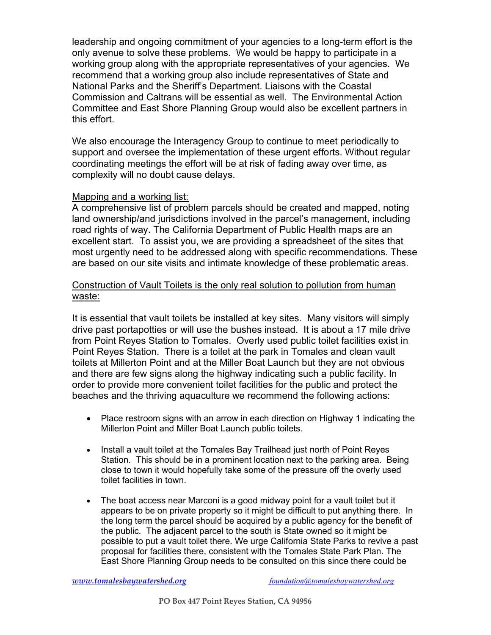leadership and ongoing commitment of your agencies to a long-term effort is the only avenue to solve these problems. We would be happy to participate in a working group along with the appropriate representatives of your agencies. We recommend that a working group also include representatives of State and National Parks and the Sheriff's Department. Liaisons with the Coastal Commission and Caltrans will be essential as well. The Environmental Action Committee and East Shore Planning Group would also be excellent partners in this effort.

We also encourage the Interagency Group to continue to meet periodically to support and oversee the implementation of these urgent efforts. Without regular coordinating meetings the effort will be at risk of fading away over time, as complexity will no doubt cause delays.

### Mapping and a working list:

A comprehensive list of problem parcels should be created and mapped, noting land ownership/and jurisdictions involved in the parcel's management, including road rights of way. The California Department of Public Health maps are an excellent start. To assist you, we are providing a spreadsheet of the sites that most urgently need to be addressed along with specific recommendations. These are based on our site visits and intimate knowledge of these problematic areas.

### Construction of Vault Toilets is the only real solution to pollution from human waste:

It is essential that vault toilets be installed at key sites. Many visitors will simply drive past portapotties or will use the bushes instead. It is about a 17 mile drive from Point Reyes Station to Tomales. Overly used public toilet facilities exist in Point Reyes Station. There is a toilet at the park in Tomales and clean vault toilets at Millerton Point and at the Miller Boat Launch but they are not obvious and there are few signs along the highway indicating such a public facility. In order to provide more convenient toilet facilities for the public and protect the beaches and the thriving aquaculture we recommend the following actions:

- Place restroom signs with an arrow in each direction on Highway 1 indicating the Millerton Point and Miller Boat Launch public toilets.
- Install a vault toilet at the Tomales Bay Trailhead just north of Point Reyes Station. This should be in a prominent location next to the parking area. Being close to town it would hopefully take some of the pressure off the overly used toilet facilities in town.
- The boat access near Marconi is a good midway point for a vault toilet but it appears to be on private property so it might be difficult to put anything there. In the long term the parcel should be acquired by a public agency for the benefit of the public. The adjacent parcel to the south is State owned so it might be possible to put a vault toilet there. We urge California State Parks to revive a past proposal for facilities there, consistent with the Tomales State Park Plan. The East Shore Planning Group needs to be consulted on this since there could be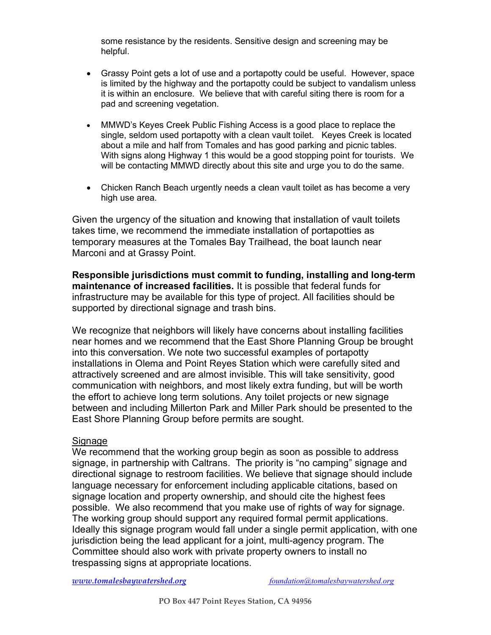some resistance by the residents. Sensitive design and screening may be helpful.

- Grassy Point gets a lot of use and a portapotty could be useful. However, space is limited by the highway and the portapotty could be subject to vandalism unless it is within an enclosure. We believe that with careful siting there is room for a pad and screening vegetation.
- MMWD's Keyes Creek Public Fishing Access is a good place to replace the single, seldom used portapotty with a clean vault toilet. Keyes Creek is located about a mile and half from Tomales and has good parking and picnic tables. With signs along Highway 1 this would be a good stopping point for tourists. We will be contacting MMWD directly about this site and urge you to do the same.
- Chicken Ranch Beach urgently needs a clean vault toilet as has become a very high use area.

Given the urgency of the situation and knowing that installation of vault toilets takes time, we recommend the immediate installation of portapotties as temporary measures at the Tomales Bay Trailhead, the boat launch near Marconi and at Grassy Point.

Responsible jurisdictions must commit to funding, installing and long-term maintenance of increased facilities. It is possible that federal funds for infrastructure may be available for this type of project. All facilities should be supported by directional signage and trash bins.

We recognize that neighbors will likely have concerns about installing facilities near homes and we recommend that the East Shore Planning Group be brought into this conversation. We note two successful examples of portapotty installations in Olema and Point Reyes Station which were carefully sited and attractively screened and are almost invisible. This will take sensitivity, good communication with neighbors, and most likely extra funding, but will be worth the effort to achieve long term solutions. Any toilet projects or new signage between and including Millerton Park and Miller Park should be presented to the East Shore Planning Group before permits are sought.

#### Signage

We recommend that the working group begin as soon as possible to address signage, in partnership with Caltrans. The priority is "no camping" signage and directional signage to restroom facilities. We believe that signage should include language necessary for enforcement including applicable citations, based on signage location and property ownership, and should cite the highest fees possible. We also recommend that you make use of rights of way for signage. The working group should support any required formal permit applications. Ideally this signage program would fall under a single permit application, with one jurisdiction being the lead applicant for a joint, multi-agency program. The Committee should also work with private property owners to install no trespassing signs at appropriate locations.

www.tomalesbaywatershed.org foundation@tomalesbaywatershed.org